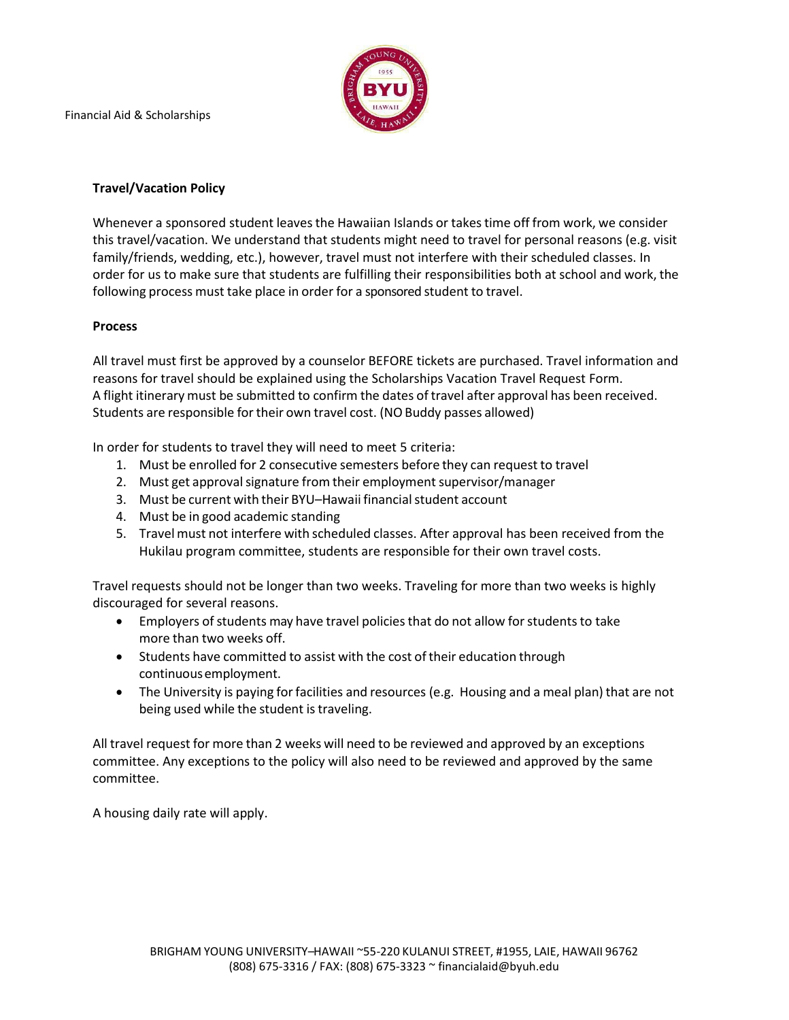Financial Aid & Scholarships



### **Travel/Vacation Policy**

Whenever a sponsored student leaves the Hawaiian Islands or takes time off from work, we consider this travel/vacation. We understand that students might need to travel for personal reasons (e.g. visit family/friends, wedding, etc.), however, travel must not interfere with their scheduled classes. In order for us to make sure that students are fulfilling their responsibilities both at school and work, the following process must take place in order for a sponsored student to travel.

#### **Process**

All travel must first be approved by a counselor BEFORE tickets are purchased. Travel information and reasons for travel should be explained using the Scholarships Vacation Travel Request Form. A flight itinerary must be submitted to confirm the dates of travel after approval has been received. Students are responsible for their own travel cost. (NO Buddy passes allowed)

In order for students to travel they will need to meet 5 criteria:

- 1. Must be enrolled for 2 consecutive semesters before they can request to travel
- 2. Must get approval signature from their employment supervisor/manager
- 3. Must be current with their BYU–Hawaii financial student account
- 4. Must be in good academic standing
- 5. Travel must not interfere with scheduled classes. After approval has been received from the Hukilau program committee, students are responsible for their own travel costs.

Travel requests should not be longer than two weeks. Traveling for more than two weeks is highly discouraged for several reasons.

- Employers of students may have travel policies that do not allow for students to take more than two weeks off.
- Students have committed to assist with the cost of their education through continuous employment.
- The University is paying for facilities and resources (e.g. Housing and a meal plan) that are not being used while the student is traveling.

All travel request for more than 2 weeks will need to be reviewed and approved by an exceptions committee. Any exceptions to the policy will also need to be reviewed and approved by the same committee.

A housing daily rate will apply.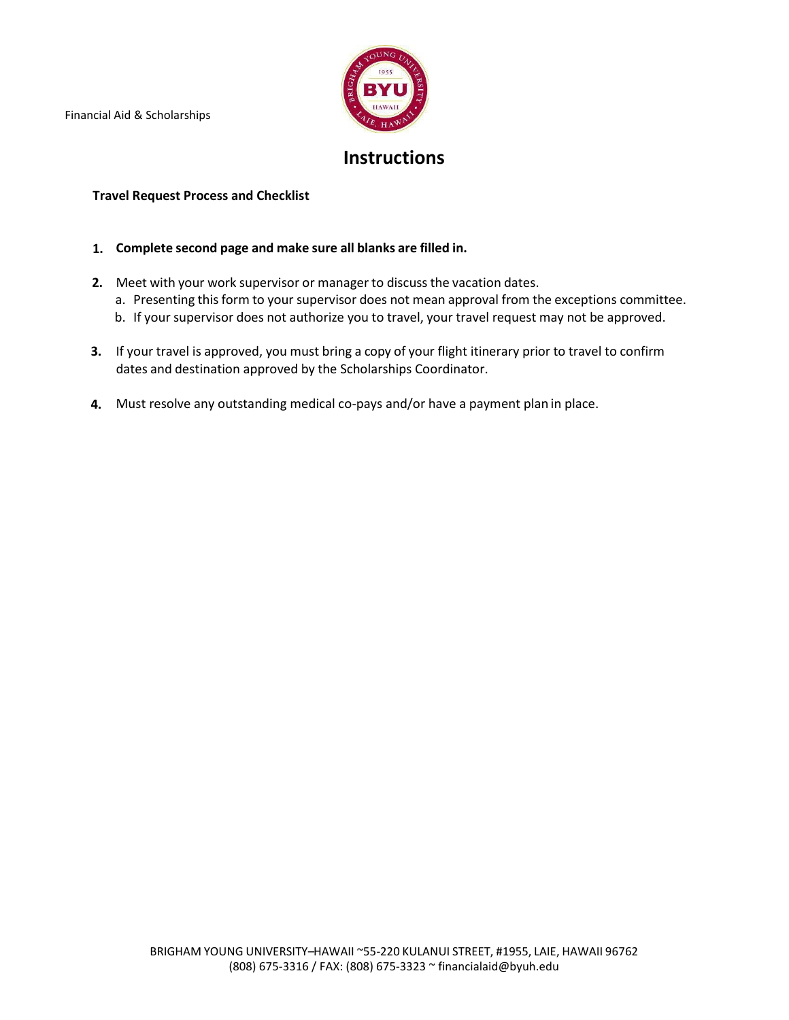Financial Aid & Scholarships



## **Instructions**

### **Travel Request Process and Checklist**

- **1. Complete second page and make sure all blanks are filled in.**
- **2.** Meet with your work supervisor or manager to discuss the vacation dates.
	- a. Presenting this form to your supervisor does not mean approval from the exceptions committee.
	- b. If your supervisor does not authorize you to travel, your travel request may not be approved.
- **3.** If your travel is approved, you must bring a copy of your flight itinerary prior to travel to confirm dates and destination approved by the Scholarships Coordinator.
- **4.** Must resolve any outstanding medical co-pays and/or have a payment plan in place.